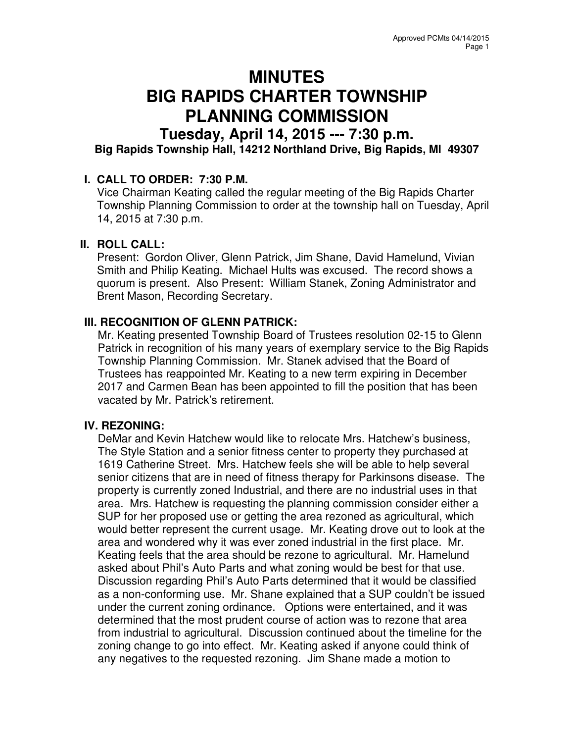# **MINUTES BIG RAPIDS CHARTER TOWNSHIP PLANNING COMMISSION**

# **Tuesday, April 14, 2015 --- 7:30 p.m. Big Rapids Township Hall, 14212 Northland Drive, Big Rapids, MI 49307**

## **I. CALL TO ORDER: 7:30 P.M.**

Vice Chairman Keating called the regular meeting of the Big Rapids Charter Township Planning Commission to order at the township hall on Tuesday, April 14, 2015 at 7:30 p.m.

#### **II. ROLL CALL:**

Present: Gordon Oliver, Glenn Patrick, Jim Shane, David Hamelund, Vivian Smith and Philip Keating. Michael Hults was excused. The record shows a quorum is present. Also Present: William Stanek, Zoning Administrator and Brent Mason, Recording Secretary.

## **III. RECOGNITION OF GLENN PATRICK:**

Mr. Keating presented Township Board of Trustees resolution 02-15 to Glenn Patrick in recognition of his many years of exemplary service to the Big Rapids Township Planning Commission. Mr. Stanek advised that the Board of Trustees has reappointed Mr. Keating to a new term expiring in December 2017 and Carmen Bean has been appointed to fill the position that has been vacated by Mr. Patrick's retirement.

#### **IV. REZONING:**

DeMar and Kevin Hatchew would like to relocate Mrs. Hatchew's business, The Style Station and a senior fitness center to property they purchased at 1619 Catherine Street. Mrs. Hatchew feels she will be able to help several senior citizens that are in need of fitness therapy for Parkinsons disease. The property is currently zoned Industrial, and there are no industrial uses in that area. Mrs. Hatchew is requesting the planning commission consider either a SUP for her proposed use or getting the area rezoned as agricultural, which would better represent the current usage. Mr. Keating drove out to look at the area and wondered why it was ever zoned industrial in the first place. Mr. Keating feels that the area should be rezone to agricultural. Mr. Hamelund asked about Phil's Auto Parts and what zoning would be best for that use. Discussion regarding Phil's Auto Parts determined that it would be classified as a non-conforming use. Mr. Shane explained that a SUP couldn't be issued under the current zoning ordinance. Options were entertained, and it was determined that the most prudent course of action was to rezone that area from industrial to agricultural. Discussion continued about the timeline for the zoning change to go into effect. Mr. Keating asked if anyone could think of any negatives to the requested rezoning. Jim Shane made a motion to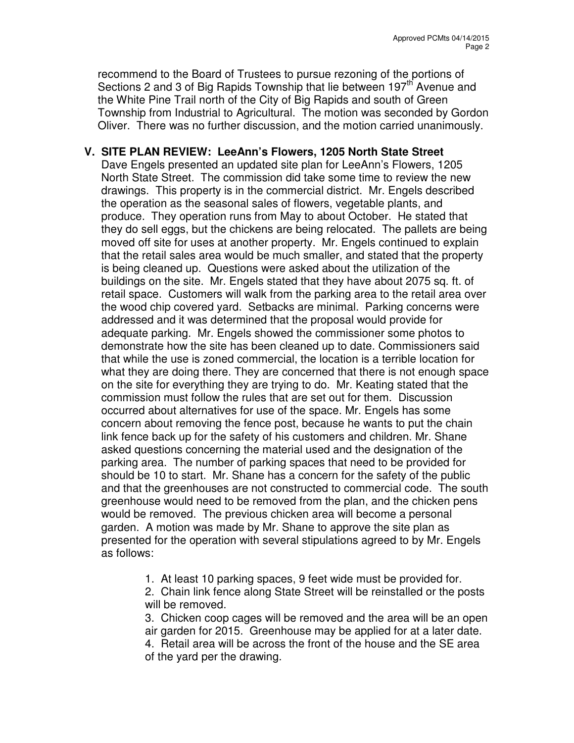recommend to the Board of Trustees to pursue rezoning of the portions of Sections 2 and 3 of Big Rapids Township that lie between 197<sup>th</sup> Avenue and the White Pine Trail north of the City of Big Rapids and south of Green Township from Industrial to Agricultural. The motion was seconded by Gordon Oliver. There was no further discussion, and the motion carried unanimously.

# **V. SITE PLAN REVIEW: LeeAnn's Flowers, 1205 North State Street**

Dave Engels presented an updated site plan for LeeAnn's Flowers, 1205 North State Street. The commission did take some time to review the new drawings. This property is in the commercial district. Mr. Engels described the operation as the seasonal sales of flowers, vegetable plants, and produce. They operation runs from May to about October. He stated that they do sell eggs, but the chickens are being relocated. The pallets are being moved off site for uses at another property. Mr. Engels continued to explain that the retail sales area would be much smaller, and stated that the property is being cleaned up. Questions were asked about the utilization of the buildings on the site. Mr. Engels stated that they have about 2075 sq. ft. of retail space. Customers will walk from the parking area to the retail area over the wood chip covered yard. Setbacks are minimal. Parking concerns were addressed and it was determined that the proposal would provide for adequate parking. Mr. Engels showed the commissioner some photos to demonstrate how the site has been cleaned up to date. Commissioners said that while the use is zoned commercial, the location is a terrible location for what they are doing there. They are concerned that there is not enough space on the site for everything they are trying to do. Mr. Keating stated that the commission must follow the rules that are set out for them. Discussion occurred about alternatives for use of the space. Mr. Engels has some concern about removing the fence post, because he wants to put the chain link fence back up for the safety of his customers and children. Mr. Shane asked questions concerning the material used and the designation of the parking area. The number of parking spaces that need to be provided for should be 10 to start. Mr. Shane has a concern for the safety of the public and that the greenhouses are not constructed to commercial code. The south greenhouse would need to be removed from the plan, and the chicken pens would be removed. The previous chicken area will become a personal garden. A motion was made by Mr. Shane to approve the site plan as presented for the operation with several stipulations agreed to by Mr. Engels as follows:

1. At least 10 parking spaces, 9 feet wide must be provided for.

2. Chain link fence along State Street will be reinstalled or the posts will be removed.

3. Chicken coop cages will be removed and the area will be an open air garden for 2015. Greenhouse may be applied for at a later date. 4. Retail area will be across the front of the house and the SE area

of the yard per the drawing.